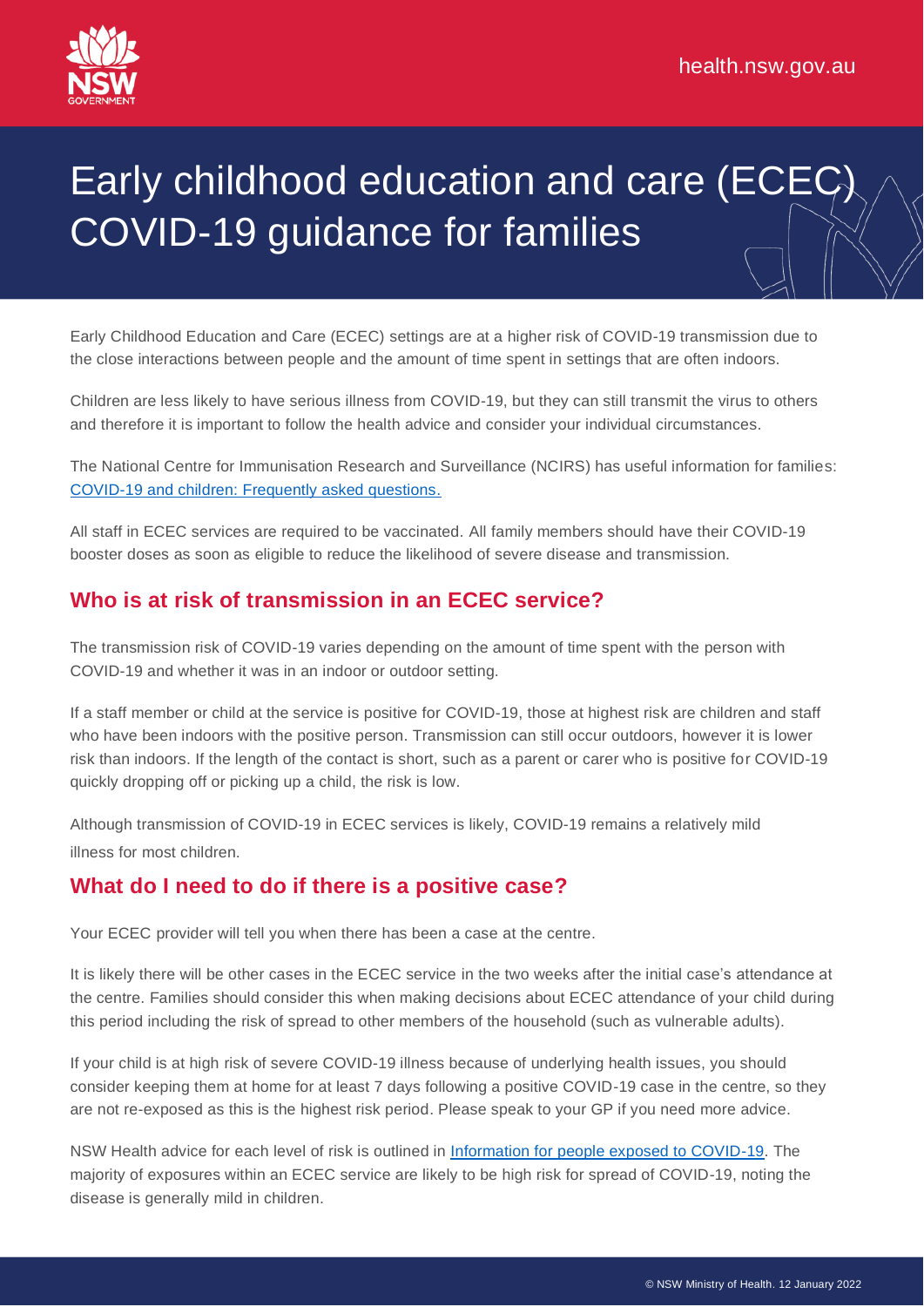

# Early childhood education and care (ECEC) COVID-19 guidance for families

Early Childhood Education and Care (ECEC) settings are at a higher risk of COVID-19 transmission due to the close interactions between people and the amount of time spent in settings that are often indoors.

Children are less likely to have serious illness from COVID-19, but they can still transmit the virus to others and therefore it is important to follow the health advice and consider your individual circumstances.

The National Centre for Immunisation Research and Surveillance (NCIRS) has useful information for families: [COVID-19 and children: Frequently asked questions.](https://www.ncirs.org.au/covid-19/covid-19-and-children-frequently-asked-questions)

All staff in ECEC services are required to be vaccinated. All family members should have their COVID-19 booster doses as soon as eligible to reduce the likelihood of severe disease and transmission.

## **Who is at risk of transmission in an ECEC service?**

The transmission risk of COVID-19 varies depending on the amount of time spent with the person with COVID-19 and whether it was in an indoor or outdoor setting.

If a staff member or child at the service is positive for COVID-19, those at highest risk are children and staff who have been indoors with the positive person. Transmission can still occur outdoors, however it is lower risk than indoors. If the length of the contact is short, such as a parent or carer who is positive for COVID-19 quickly dropping off or picking up a child, the risk is low.

Although transmission of COVID-19 in ECEC services is likely, COVID-19 remains a relatively mild illness for most children.

## **What do I need to do if there is a positive case?**

Your ECEC provider will tell you when there has been a case at the centre.

It is likely there will be other cases in the ECEC service in the two weeks after the initial case's attendance at the centre. Families should consider this when making decisions about ECEC attendance of your child during this period including the risk of spread to other members of the household (such as vulnerable adults).

If your child is at high risk of severe COVID-19 illness because of underlying health issues, you should consider keeping them at home for at least 7 days following a positive COVID-19 case in the centre, so they are not re-exposed as this is the highest risk period. Please speak to your GP if you need more advice.

NSW Health advice for each level of risk is outlined in [Information for people exposed to COVID-19.](https://www.health.nsw.gov.au/Infectious/factsheets/Pages/people-exposed-to-covid.aspx) The majority of exposures within an ECEC service are likely to be high risk for spread of COVID-19, noting the disease is generally mild in children.